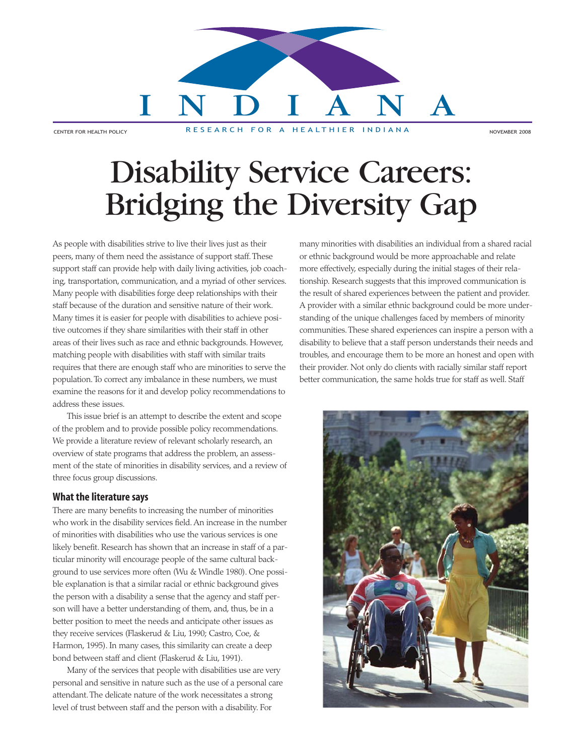CENTER FOR HEALTH POLICY RESEARCH FOR A HEALTHIER INDIANA NOVEMBER 2008

INDIANA

## Disability Service Careers: Bridging the Diversity Gap

As people with disabilities strive to live their lives just as their peers, many of them need the assistance of support staff. These support staff can provide help with daily living activities, job coaching, transportation, communication, and a myriad of other services. Many people with disabilities forge deep relationships with their staff because of the duration and sensitive nature of their work. Many times it is easier for people with disabilities to achieve positive outcomes if they share similarities with their staff in other areas of their lives such as race and ethnic backgrounds. However, matching people with disabilities with staff with similar traits requires that there are enough staff who are minorities to serve the population. To correct any imbalance in these numbers, we must examine the reasons for it and develop policy recommendations to address these issues.

This issue brief is an attempt to describe the extent and scope of the problem and to provide possible policy recommendations. We provide a literature review of relevant scholarly research, an overview of state programs that address the problem, an assessment of the state of minorities in disability services, and a review of three focus group discussions.

#### **What the literature says**

There are many benefits to increasing the number of minorities who work in the disability services field. An increase in the number of minorities with disabilities who use the various services is one likely benefit. Research has shown that an increase in staff of a particular minority will encourage people of the same cultural background to use services more often (Wu & Windle 1980). One possible explanation is that a similar racial or ethnic background gives the person with a disability a sense that the agency and staff person will have a better understanding of them, and, thus, be in a better position to meet the needs and anticipate other issues as they receive services (Flaskerud & Liu, 1990; Castro, Coe, & Harmon, 1995). In many cases, this similarity can create a deep bond between staff and client (Flaskerud & Liu, 1991).

Many of the services that people with disabilities use are very personal and sensitive in nature such as the use of a personal care attendant. The delicate nature of the work necessitates a strong level of trust between staff and the person with a disability. For

many minorities with disabilities an individual from a shared racial or ethnic background would be more approachable and relate more effectively, especially during the initial stages of their relationship. Research suggests that this improved communication is the result of shared experiences between the patient and provider. A provider with a similar ethnic background could be more understanding of the unique challenges faced by members of minority communities. These shared experiences can inspire a person with a disability to believe that a staff person understands their needs and troubles, and encourage them to be more an honest and open with their provider. Not only do clients with racially similar staff report better communication, the same holds true for staff as well. Staff

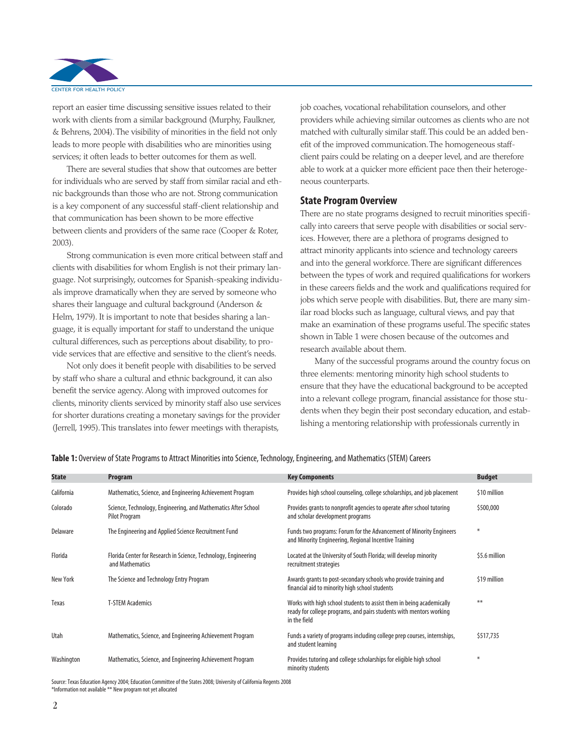

report an easier time discussing sensitive issues related to their work with clients from a similar background (Murphy, Faulkner, & Behrens, 2004). The visibility of minorities in the field not only leads to more people with disabilities who are minorities using services; it often leads to better outcomes for them as well.

There are several studies that show that outcomes are better for individuals who are served by staff from similar racial and ethnic backgrounds than those who are not. Strong communication is a key component of any successful staff-client relationship and that communication has been shown to be more effective between clients and providers of the same race (Cooper & Roter, 2003).

Strong communication is even more critical between staff and clients with disabilities for whom English is not their primary language. Not surprisingly, outcomes for Spanish-speaking individuals improve dramatically when they are served by someone who shares their language and cultural background (Anderson & Helm, 1979). It is important to note that besides sharing a language, it is equally important for staff to understand the unique cultural differences, such as perceptions about disability, to provide services that are effective and sensitive to the client's needs.

Not only does it benefit people with disabilities to be served by staff who share a cultural and ethnic background, it can also benefit the service agency. Along with improved outcomes for clients, minority clients serviced by minority staff also use services for shorter durations creating a monetary savings for the provider (Jerrell, 1995). This translates into fewer meetings with therapists,

job coaches, vocational rehabilitation counselors, and other providers while achieving similar outcomes as clients who are not matched with culturally similar staff. This could be an added benefit of the improved communication. The homogeneous staffclient pairs could be relating on a deeper level, and are therefore able to work at a quicker more efficient pace then their heterogeneous counterparts.

#### **State Program Overview**

There are no state programs designed to recruit minorities specifically into careers that serve people with disabilities or social services. However, there are a plethora of programs designed to attract minority applicants into science and technology careers and into the general workforce. There are significant differences between the types of work and required qualifications for workers in these careers fields and the work and qualifications required for jobs which serve people with disabilities. But, there are many similar road blocks such as language, cultural views, and pay that make an examination of these programs useful. The specific states shown in Table 1 were chosen because of the outcomes and research available about them.

Many of the successful programs around the country focus on three elements: mentoring minority high school students to ensure that they have the educational background to be accepted into a relevant college program, financial assistance for those students when they begin their post secondary education, and establishing a mentoring relationship with professionals currently in

| <b>State</b> | Program                                                                                | <b>Key Components</b>                                                                                                                                       | <b>Budget</b> |
|--------------|----------------------------------------------------------------------------------------|-------------------------------------------------------------------------------------------------------------------------------------------------------------|---------------|
| California   | Mathematics, Science, and Engineering Achievement Program                              | Provides high school counseling, college scholarships, and job placement                                                                                    | \$10 million  |
| Colorado     | Science, Technology, Engineering, and Mathematics After School<br><b>Pilot Program</b> | Provides grants to nonprofit agencies to operate after school tutoring<br>and scholar development programs                                                  | \$500,000     |
| Delaware     | The Engineering and Applied Science Recruitment Fund                                   | Funds two programs: Forum for the Advancement of Minority Engineers<br>and Minority Engineering, Regional Incentive Training                                | $\ast$        |
| Florida      | Florida Center for Research in Science, Technology, Engineering<br>and Mathematics     | Located at the University of South Florida; will develop minority<br>recruitment strategies                                                                 | \$5.6 million |
| New York     | The Science and Technology Entry Program                                               | Awards grants to post-secondary schools who provide training and<br>financial aid to minority high school students                                          | \$19 million  |
| Texas        | <b>T-STEM Academics</b>                                                                | Works with high school students to assist them in being academically<br>ready for college programs, and pairs students with mentors working<br>in the field | **            |
| Utah         | Mathematics, Science, and Engineering Achievement Program                              | Funds a variety of programs including college prep courses, internships,<br>and student learning                                                            | \$517,735     |
| Washington   | Mathematics, Science, and Engineering Achievement Program                              | Provides tutoring and college scholarships for eligible high school<br>minority students                                                                    | $\chi$        |

**Table 1:** Overview of State Programs to Attract Minorities into Science, Technology, Engineering, and Mathematics (STEM) Careers

Source: Texas Education Agency 2004; Education Committee of the States 2008; University of California Regents 2008 \*Information not available \*\* New program not yet allocated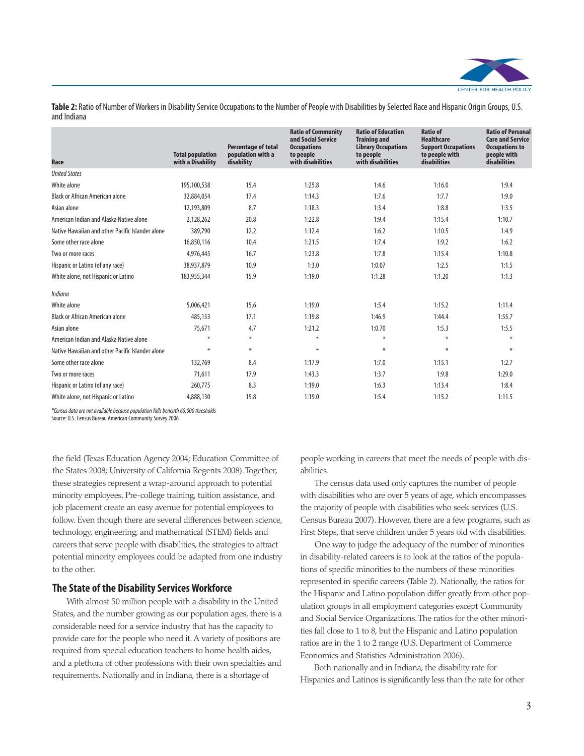

**Table 2:** Ratio of Number of Workers in Disability Service Occupations to the Number of People with Disabilities by Selected Race and Hispanic Origin Groups, U.S. and Indiana

| Race                                             | <b>Total population</b><br>with a Disability | <b>Percentage of total</b><br>population with a<br>disability | <b>Ratio of Community</b><br>and Social Service<br><b>Occupations</b><br>to people<br>with disabilities | <b>Ratio of Education</b><br><b>Training and</b><br><b>Library Occupations</b><br>to people<br>with disabilities | <b>Ratio of</b><br><b>Healthcare</b><br><b>Support Occupations</b><br>to people with<br>disabilities | <b>Ratio of Personal</b><br><b>Care and Service</b><br><b>Occupations to</b><br>people with<br>disabilities |
|--------------------------------------------------|----------------------------------------------|---------------------------------------------------------------|---------------------------------------------------------------------------------------------------------|------------------------------------------------------------------------------------------------------------------|------------------------------------------------------------------------------------------------------|-------------------------------------------------------------------------------------------------------------|
| <b>United States</b>                             |                                              |                                                               |                                                                                                         |                                                                                                                  |                                                                                                      |                                                                                                             |
| White alone                                      | 195,100,538                                  | 15.4                                                          | 1:25.8                                                                                                  | 1:4.6                                                                                                            | 1:16.0                                                                                               | 1:9.4                                                                                                       |
| <b>Black or African American alone</b>           | 32,884,054                                   | 17.4                                                          | 1:14.3                                                                                                  | 1:7.6                                                                                                            | 1:7.7                                                                                                | 1:9.0                                                                                                       |
| Asian alone                                      | 12,193,809                                   | 8.7                                                           | 1:18.3                                                                                                  | 1:3.4                                                                                                            | 1:8.8                                                                                                | 1:3.5                                                                                                       |
| American Indian and Alaska Native alone          | 2,128,262                                    | 20.8                                                          | 1:22.8                                                                                                  | 1:9.4                                                                                                            | 1:15.4                                                                                               | 1:10.7                                                                                                      |
| Native Hawaiian and other Pacific Islander alone | 389,790                                      | 12.2                                                          | 1:12.4                                                                                                  | 1:6.2                                                                                                            | 1:10.5                                                                                               | 1:4.9                                                                                                       |
| Some other race alone                            | 16,850,116                                   | 10.4                                                          | 1:21.5                                                                                                  | 1:7.4                                                                                                            | 1:9.2                                                                                                | 1:6.2                                                                                                       |
| Two or more races                                | 4,976,445                                    | 16.7                                                          | 1:23.8                                                                                                  | 1:7.8                                                                                                            | 1:15.4                                                                                               | 1:10.8                                                                                                      |
| Hispanic or Latino (of any race)                 | 38,937,879                                   | 10.9                                                          | 1:3.0                                                                                                   | 1:0.07                                                                                                           | 1:2.5                                                                                                | 1:1.5                                                                                                       |
| White alone, not Hispanic or Latino              | 183,955,344                                  | 15.9                                                          | 1:19.0                                                                                                  | 1:1.28                                                                                                           | 1:1.20                                                                                               | 1:1.3                                                                                                       |
| Indiana                                          |                                              |                                                               |                                                                                                         |                                                                                                                  |                                                                                                      |                                                                                                             |
| White alone                                      | 5,006,421                                    | 15.6                                                          | 1:19.0                                                                                                  | 1:5.4                                                                                                            | 1:15.2                                                                                               | 1:11.4                                                                                                      |
| <b>Black or African American alone</b>           | 485,153                                      | 17.1                                                          | 1:19.8                                                                                                  | 1:46.9                                                                                                           | 1:44.4                                                                                               | 1:55.7                                                                                                      |
| Asian alone                                      | 75,671                                       | 4.7                                                           | 1:21.2                                                                                                  | 1:0.70                                                                                                           | 1:5.3                                                                                                | 1:5.5                                                                                                       |
| American Indian and Alaska Native alone          | ₩                                            | $\ast$                                                        | $\ast$                                                                                                  | $\frac{1}{2}$                                                                                                    | ₩                                                                                                    | $\ast$                                                                                                      |
| Native Hawaiian and other Pacific Islander alone | ₩                                            | $\ast$                                                        | $\ast$                                                                                                  | 美                                                                                                                | 圣                                                                                                    | $\ast$                                                                                                      |
| Some other race alone                            | 132,769                                      | 8.4                                                           | 1:17.9                                                                                                  | 1:7.0                                                                                                            | 1:15.1                                                                                               | 1:2.7                                                                                                       |
| Two or more races                                | 71,611                                       | 17.9                                                          | 1:43.3                                                                                                  | 1:3.7                                                                                                            | 1:9.8                                                                                                | 1:29.0                                                                                                      |
| Hispanic or Latino (of any race)                 | 260,775                                      | 8.3                                                           | 1:19.0                                                                                                  | 1:6.3                                                                                                            | 1:13.4                                                                                               | 1:8.4                                                                                                       |
| White alone, not Hispanic or Latino              | 4,888,130                                    | 15.8                                                          | 1:19.0                                                                                                  | 1:5.4                                                                                                            | 1:15.2                                                                                               | 1:11.5                                                                                                      |

*\*Census data are not available because population falls beneath 65,000 thresholds* Source: U.S. Census Bureau American Community Survey 2006

the field (Texas Education Agency 2004; Education Committee of the States 2008; University of California Regents 2008). Together, these strategies represent a wrap-around approach to potential minority employees. Pre-college training, tuition assistance, and job placement create an easy avenue for potential employees to follow. Even though there are several differences between science, technology, engineering, and mathematical (STEM) fields and careers that serve people with disabilities, the strategies to attract potential minority employees could be adapted from one industry to the other.

#### **The State of the Disability Services Workforce**

With almost 50 million people with a disability in the United States, and the number growing as our population ages, there is a considerable need for a service industry that has the capacity to provide care for the people who need it. A variety of positions are required from special education teachers to home health aides, and a plethora of other professions with their own specialties and requirements. Nationally and in Indiana, there is a shortage of

people working in careers that meet the needs of people with disabilities.

The census data used only captures the number of people with disabilities who are over 5 years of age, which encompasses the majority of people with disabilities who seek services (U.S. Census Bureau 2007). However, there are a few programs, such as First Steps, that serve children under 5 years old with disabilities.

One way to judge the adequacy of the number of minorities in disability-related careers is to look at the ratios of the populations of specific minorities to the numbers of these minorities represented in specific careers (Table 2). Nationally, the ratios for the Hispanic and Latino population differ greatly from other population groups in all employment categories except Community and Social Service Organizations. The ratios for the other minorities fall close to 1 to 8, but the Hispanic and Latino population ratios are in the 1 to 2 range (U.S. Department of Commerce Economics and Statistics Administration 2006).

Both nationally and in Indiana, the disability rate for Hispanics and Latinos is significantly less than the rate for other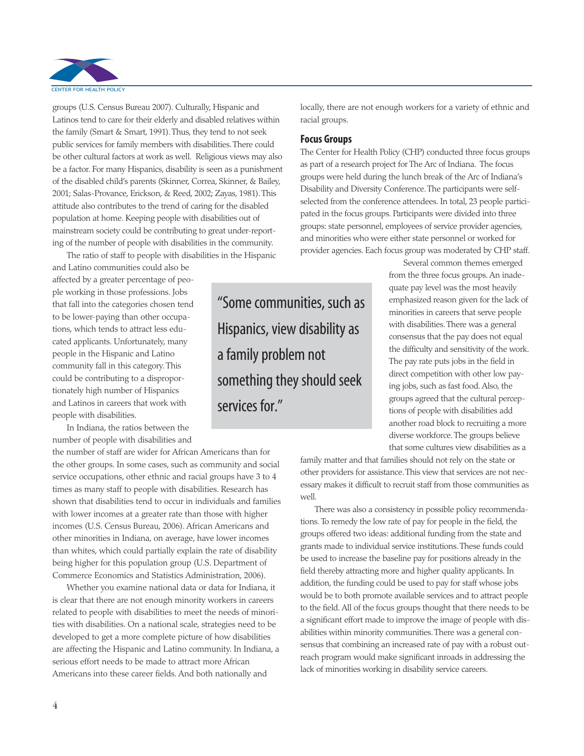

groups (U.S. Census Bureau 2007). Culturally, Hispanic and Latinos tend to care for their elderly and disabled relatives within the family (Smart & Smart, 1991). Thus, they tend to not seek public services for family members with disabilities. There could be other cultural factors at work as well. Religious views may also be a factor. For many Hispanics, disability is seen as a punishment of the disabled child's parents (Skinner, Correa, Skinner, & Bailey, 2001; Salas-Provance, Erickson, & Reed, 2002; Zayas, 1981). This attitude also contributes to the trend of caring for the disabled population at home. Keeping people with disabilities out of mainstream society could be contributing to great under-reporting of the number of people with disabilities in the community.

The ratio of staff to people with disabilities in the Hispanic

and Latino communities could also be affected by a greater percentage of people working in those professions. Jobs that fall into the categories chosen tend to be lower-paying than other occupations, which tends to attract less educated applicants. Unfortunately, many people in the Hispanic and Latino community fall in this category. This could be contributing to a disproportionately high number of Hispanics and Latinos in careers that work with people with disabilities.

In Indiana, the ratios between the number of people with disabilities and

the number of staff are wider for African Americans than for the other groups. In some cases, such as community and social service occupations, other ethnic and racial groups have 3 to 4 times as many staff to people with disabilities. Research has shown that disabilities tend to occur in individuals and families with lower incomes at a greater rate than those with higher incomes (U.S. Census Bureau, 2006). African Americans and other minorities in Indiana, on average, have lower incomes than whites, which could partially explain the rate of disability being higher for this population group (U.S. Department of Commerce Economics and Statistics Administration, 2006).

Whether you examine national data or data for Indiana, it is clear that there are not enough minority workers in careers related to people with disabilities to meet the needs of minorities with disabilities. On a national scale, strategies need to be developed to get a more complete picture of how disabilities are affecting the Hispanic and Latino community. In Indiana, a serious effort needs to be made to attract more African Americans into these career fields. And both nationally and

"Some communities, such as Hispanics, view disability as a family problem not something they should seek services for."

locally, there are not enough workers for a variety of ethnic and racial groups.

#### **Focus Groups**

The Center for Health Policy (CHP) conducted three focus groups as part of a research project for The Arc of Indiana. The focus groups were held during the lunch break of the Arc of Indiana's Disability and Diversity Conference. The participants were selfselected from the conference attendees. In total, 23 people participated in the focus groups. Participants were divided into three groups: state personnel, employees of service provider agencies, and minorities who were either state personnel or worked for provider agencies. Each focus group was moderated by CHP staff.

> Several common themes emerged from the three focus groups. An inadequate pay level was the most heavily emphasized reason given for the lack of minorities in careers that serve people with disabilities. There was a general consensus that the pay does not equal the difficulty and sensitivity of the work. The pay rate puts jobs in the field in direct competition with other low paying jobs, such as fast food. Also, the groups agreed that the cultural perceptions of people with disabilities add another road block to recruiting a more diverse workforce. The groups believe that some cultures view disabilities as a

family matter and that families should not rely on the state or other providers for assistance. This view that services are not necessary makes it difficult to recruit staff from those communities as well.

There was also a consistency in possible policy recommendations. To remedy the low rate of pay for people in the field, the groups offered two ideas: additional funding from the state and grants made to individual service institutions. These funds could be used to increase the baseline pay for positions already in the field thereby attracting more and higher quality applicants. In addition, the funding could be used to pay for staff whose jobs would be to both promote available services and to attract people to the field. All of the focus groups thought that there needs to be a significant effort made to improve the image of people with disabilities within minority communities. There was a general consensus that combining an increased rate of pay with a robust outreach program would make significant inroads in addressing the lack of minorities working in disability service careers.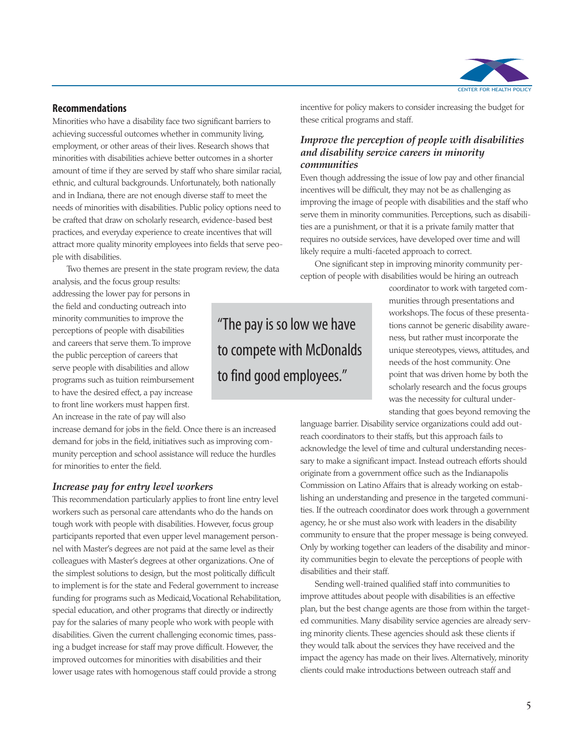#### **Recommendations**

Minorities who have a disability face two significant barriers to achieving successful outcomes whether in community living, employment, or other areas of their lives. Research shows that minorities with disabilities achieve better outcomes in a shorter amount of time if they are served by staff who share similar racial, ethnic, and cultural backgrounds. Unfortunately, both nationally and in Indiana, there are not enough diverse staff to meet the needs of minorities with disabilities. Public policy options need to be crafted that draw on scholarly research, evidence-based best practices, and everyday experience to create incentives that will attract more quality minority employees into fields that serve people with disabilities.

Two themes are present in the state program review, the data

analysis, and the focus group results: addressing the lower pay for persons in the field and conducting outreach into minority communities to improve the perceptions of people with disabilities and careers that serve them. To improve the public perception of careers that serve people with disabilities and allow programs such as tuition reimbursement to have the desired effect, a pay increase to front line workers must happen first. An increase in the rate of pay will also

increase demand for jobs in the field. Once there is an increased demand for jobs in the field, initiatives such as improving community perception and school assistance will reduce the hurdles for minorities to enter the field.

#### *Increase pay for entry level workers*

This recommendation particularly applies to front line entry level workers such as personal care attendants who do the hands on tough work with people with disabilities. However, focus group participants reported that even upper level management personnel with Master's degrees are not paid at the same level as their colleagues with Master's degrees at other organizations. One of the simplest solutions to design, but the most politically difficult to implement is for the state and Federal government to increase funding for programs such as Medicaid, Vocational Rehabilitation, special education, and other programs that directly or indirectly pay for the salaries of many people who work with people with disabilities. Given the current challenging economic times, passing a budget increase for staff may prove difficult. However, the improved outcomes for minorities with disabilities and their lower usage rates with homogenous staff could provide a strong

CENTER FOR HEALTH POLICY

incentive for policy makers to consider increasing the budget for these critical programs and staff.

#### *Improve the perception of people with disabilities and disability service careers in minority communities*

Even though addressing the issue of low pay and other financial incentives will be difficult, they may not be as challenging as improving the image of people with disabilities and the staff who serve them in minority communities. Perceptions, such as disabilities are a punishment, or that it is a private family matter that requires no outside services, have developed over time and will likely require a multi-faceted approach to correct.

One significant step in improving minority community perception of people with disabilities would be hiring an outreach

> coordinator to work with targeted communities through presentations and workshops. The focus of these presentations cannot be generic disability awareness, but rather must incorporate the unique stereotypes, views, attitudes, and needs of the host community. One point that was driven home by both the scholarly research and the focus groups was the necessity for cultural understanding that goes beyond removing the

language barrier. Disability service organizations could add outreach coordinators to their staffs, but this approach fails to acknowledge the level of time and cultural understanding necessary to make a significant impact. Instead outreach efforts should originate from a government office such as the Indianapolis Commission on Latino Affairs that is already working on establishing an understanding and presence in the targeted communities. If the outreach coordinator does work through a government agency, he or she must also work with leaders in the disability community to ensure that the proper message is being conveyed. Only by working together can leaders of the disability and minority communities begin to elevate the perceptions of people with disabilities and their staff.

Sending well-trained qualified staff into communities to improve attitudes about people with disabilities is an effective plan, but the best change agents are those from within the targeted communities. Many disability service agencies are already serving minority clients. These agencies should ask these clients if they would talk about the services they have received and the impact the agency has made on their lives. Alternatively, minority clients could make introductions between outreach staff and

"The pay is so low we have to compete with McDonalds to find good employees."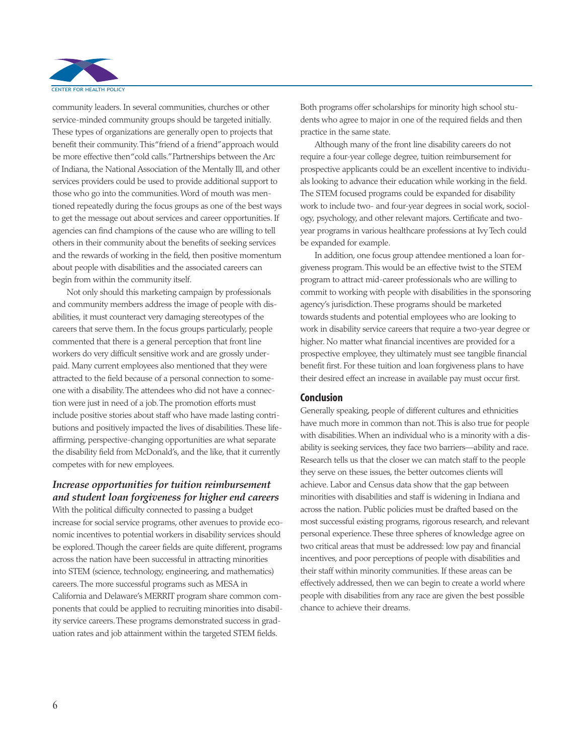

community leaders. In several communities, churches or other service-minded community groups should be targeted initially. These types of organizations are generally open to projects that benefit their community. This "friend of a friend" approach would be more effective then "cold calls." Partnerships between the Arc of Indiana, the National Association of the Mentally Ill, and other services providers could be used to provide additional support to those who go into the communities. Word of mouth was mentioned repeatedly during the focus groups as one of the best ways to get the message out about services and career opportunities. If agencies can find champions of the cause who are willing to tell others in their community about the benefits of seeking services and the rewards of working in the field, then positive momentum about people with disabilities and the associated careers can begin from within the community itself.

Not only should this marketing campaign by professionals and community members address the image of people with disabilities, it must counteract very damaging stereotypes of the careers that serve them. In the focus groups particularly, people commented that there is a general perception that front line workers do very difficult sensitive work and are grossly underpaid. Many current employees also mentioned that they were attracted to the field because of a personal connection to someone with a disability. The attendees who did not have a connection were just in need of a job. The promotion efforts must include positive stories about staff who have made lasting contributions and positively impacted the lives of disabilities. These lifeaffirming, perspective-changing opportunities are what separate the disability field from McDonald's, and the like, that it currently competes with for new employees.

#### *Increase opportunities for tuition reimbursement and student loan forgiveness for higher end careers*

With the political difficulty connected to passing a budget increase for social service programs, other avenues to provide economic incentives to potential workers in disability services should be explored. Though the career fields are quite different, programs across the nation have been successful in attracting minorities into STEM (science, technology, engineering, and mathematics) careers. The more successful programs such as MESA in California and Delaware's MERRIT program share common components that could be applied to recruiting minorities into disability service careers. These programs demonstrated success in graduation rates and job attainment within the targeted STEM fields.

Both programs offer scholarships for minority high school students who agree to major in one of the required fields and then practice in the same state.

Although many of the front line disability careers do not require a four-year college degree, tuition reimbursement for prospective applicants could be an excellent incentive to individuals looking to advance their education while working in the field. The STEM focused programs could be expanded for disability work to include two- and four-year degrees in social work, sociology, psychology, and other relevant majors. Certificate and twoyear programs in various healthcare professions at Ivy Tech could be expanded for example.

In addition, one focus group attendee mentioned a loan forgiveness program. This would be an effective twist to the STEM program to attract mid-career professionals who are willing to commit to working with people with disabilities in the sponsoring agency's jurisdiction. These programs should be marketed towards students and potential employees who are looking to work in disability service careers that require a two-year degree or higher. No matter what financial incentives are provided for a prospective employee, they ultimately must see tangible financial benefit first. For these tuition and loan forgiveness plans to have their desired effect an increase in available pay must occur first.

#### **Conclusion**

Generally speaking, people of different cultures and ethnicities have much more in common than not. This is also true for people with disabilities. When an individual who is a minority with a disability is seeking services, they face two barriers—ability and race. Research tells us that the closer we can match staff to the people they serve on these issues, the better outcomes clients will achieve. Labor and Census data show that the gap between minorities with disabilities and staff is widening in Indiana and across the nation. Public policies must be drafted based on the most successful existing programs, rigorous research, and relevant personal experience. These three spheres of knowledge agree on two critical areas that must be addressed: low pay and financial incentives, and poor perceptions of people with disabilities and their staff within minority communities. If these areas can be effectively addressed, then we can begin to create a world where people with disabilities from any race are given the best possible chance to achieve their dreams.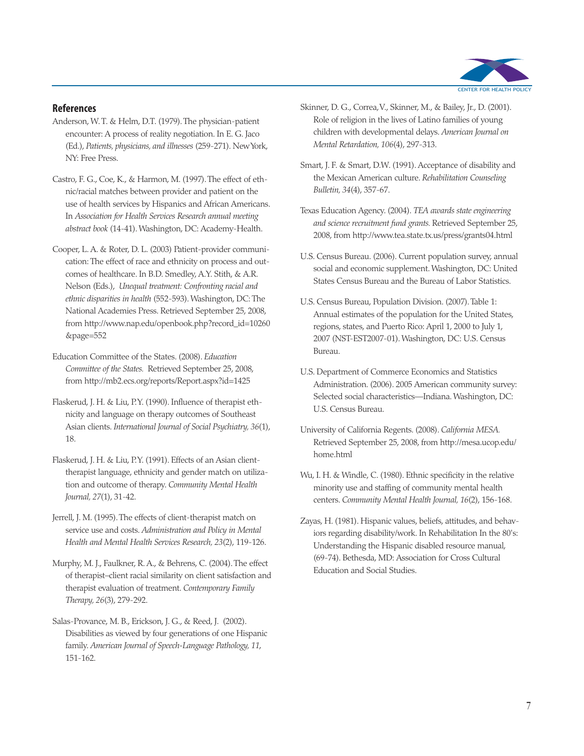# CENTER FOR HEALTH POLICY

#### **References**

- Anderson, W. T. & Helm, D.T. (1979). The physician-patient encounter: A process of reality negotiation. In E. G. Jaco (Ed.), *Patients, physicians, and illnesses* (259-271). New York, NY: Free Press.
- Castro, F. G., Coe, K., & Harmon, M. (1997). The effect of ethnic/racial matches between provider and patient on the use of health services by Hispanics and African Americans. In *Association for Health Services Research annual meeting abstract book* (14-41). Washington, DC: Academy-Health.
- Cooper, L. A. & Roter, D. L. (2003) Patient-provider communication: The effect of race and ethnicity on process and outcomes of healthcare. In B.D. Smedley, A.Y. Stith, & A.R. Nelson (Eds.), *Unequal treatment: Confronting racial and ethnic disparities in health* (552-593). Washington, DC: The National Academies Press. Retrieved September 25, 2008, from http://www.nap.edu/openbook.php?record\_id=10260 &page=552
- Education Committee of the States. (2008). *Education Committee of the States.* Retrieved September 25, 2008, from http://mb2.ecs.org/reports/Report.aspx?id=1425
- Flaskerud, J. H. & Liu, P.Y. (1990). Influence of therapist ethnicity and language on therapy outcomes of Southeast Asian clients. *International Journal of Social Psychiatry, 36*(1), 18.
- Flaskerud, J. H. & Liu, P.Y. (1991). Effects of an Asian clienttherapist language, ethnicity and gender match on utilization and outcome of therapy. *Community Mental Health Journal, 27*(1), 31-42.
- Jerrell, J. M. (1995). The effects of client-therapist match on service use and costs. *Administration and Policy in Mental Health and Mental Health Services Research, 23*(2), 119-126.
- Murphy, M. J., Faulkner, R. A., & Behrens, C. (2004). The effect of therapist–client racial similarity on client satisfaction and therapist evaluation of treatment. *Contemporary Family Therapy, 26*(3), 279-292.
- Salas-Provance, M. B., Erickson, J. G., & Reed, J. (2002). Disabilities as viewed by four generations of one Hispanic family. *American Journal of Speech-Language Pathology, 11*, 151-162.
- Skinner, D. G., Correa, V., Skinner, M., & Bailey, Jr., D. (2001). Role of religion in the lives of Latino families of young children with developmental delays. *American Journal on Mental Retardation, 106*(4), 297-313.
- Smart, J. F. & Smart, D.W. (1991). Acceptance of disability and the Mexican American culture. *Rehabilitation Counseling Bulletin, 34*(4), 357-67.
- Texas Education Agency. (2004). *TEA awards state engineering and science recruitment fund grants.* Retrieved September 25, 2008, from http://www.tea.state.tx.us/press/grants04.html
- U.S. Census Bureau. (2006). Current population survey, annual social and economic supplement. Washington, DC: United States Census Bureau and the Bureau of Labor Statistics.
- U.S. Census Bureau, Population Division. (2007). Table 1: Annual estimates of the population for the United States, regions, states, and Puerto Rico: April 1, 2000 to July 1, 2007 (NST-EST2007-01). Washington, DC: U.S. Census Bureau.
- U.S. Department of Commerce Economics and Statistics Administration. (2006). 2005 American community survey: Selected social characteristics—Indiana. Washington, DC: U.S. Census Bureau.
- University of California Regents. (2008). *California MESA.* Retrieved September 25, 2008, from http://mesa.ucop.edu/ home.html
- Wu, I. H. & Windle, C. (1980). Ethnic specificity in the relative minority use and staffing of community mental health centers. *Community Mental Health Journal, 16*(2), 156-168.
- Zayas, H. (1981). Hispanic values, beliefs, attitudes, and behaviors regarding disability/work. In Rehabilitation In the 80's: Understanding the Hispanic disabled resource manual, (69-74). Bethesda, MD: Association for Cross Cultural Education and Social Studies.